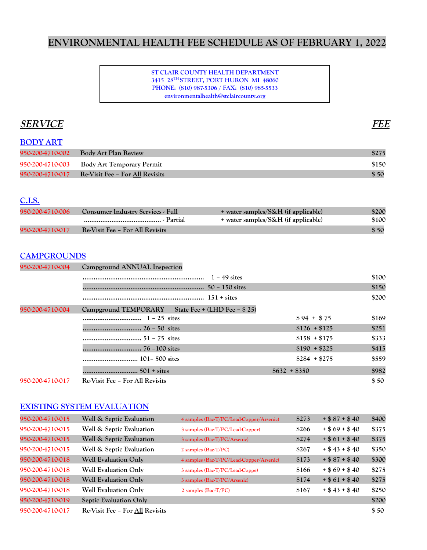# **ENVIRONMENTAL HEALTH FEE SCHEDULE AS OF FEBRUARY 1, 2022**

#### **ST CLAIR COUNTY HEALTH DEPARTMENT 3415 28TH STREET, PORT HURON MI 48060 PHONE: (810) 987-5306 / FAX: (810) 985-5533 environmentalhealth@stclaircounty.org**

# **SERVICE FEE**

| <b>BODY ART</b>  |                                 |       |
|------------------|---------------------------------|-------|
| 950-200-4710-002 | Body Art Plan Review            | \$275 |
| 950-200-4710-003 | Body Art Temporary Permit       | \$150 |
| 950-200-4710-017 | Re-Visit Fee – For All Revisits | \$50  |

#### **C.I.S.**

| 950-200-4710-006 | <b>Consumer Industry Services - Full</b> | + water samples/S&H (if applicable) | \$200 |
|------------------|------------------------------------------|-------------------------------------|-------|
|                  |                                          | + water samples/S&H (if applicable) | \$100 |
| 950-200-4710-017 | Re-Visit Fee – For All Revisits          |                                     | \$50  |

#### **CAMPGROUNDS**

| 950-200-4710-004 | Campground ANNUAL Inspection                       |               |       |
|------------------|----------------------------------------------------|---------------|-------|
|                  | $1 - 49$ sites                                     |               | \$100 |
|                  |                                                    |               | \$150 |
|                  |                                                    |               | \$200 |
| 950-200-4710-004 | Campground TEMPORARY State Fee + (LHD Fee = \$ 25) |               |       |
|                  |                                                    | $$94 + $75$   | \$169 |
|                  |                                                    | $$126 + $125$ | \$251 |
|                  |                                                    | $$158 + $175$ | \$333 |
|                  |                                                    | $$190 + $225$ | \$415 |
|                  |                                                    | $$284 + $275$ | \$559 |
|                  |                                                    | $$632 + $350$ | \$982 |
| 950-200-4710-017 | Re-Visit Fee – For All Revisits                    |               | \$50  |

### **EXISTING SYSTEM EVALUATION**

| 950-200-4710-015 | Well & Septic Evaluation        | 4 samples (Bac-T/PC/Lead-Copper/Arsenic) | \$273 | $+ $87 + $40$     | \$400 |
|------------------|---------------------------------|------------------------------------------|-------|-------------------|-------|
| 950-200-4710-015 | Well & Septic Evaluation        | 3 samples (Bac-T/PC/Lead-Copper)         | \$266 | $+$ \$ 69 + \$ 40 | \$375 |
| 950-200-4710-015 | Well & Septic Evaluation        | 3 samples (Bac-T/PC/Arsenic)             | \$274 | $+ $61 + $40$     | \$375 |
| 950-200-4710-015 | Well & Septic Evaluation        | $2$ samples (Bac-T/PC)                   | \$267 | $+$ \$ 43 + \$ 40 | \$350 |
| 950-200-4710-018 | <b>Well Evaluation Only</b>     | 4 samples (Bac-T/PC/Lead-Copper/Arsenic) | \$173 | $+$ \$ 87 + \$ 40 | \$300 |
| 950-200-4710-018 | <b>Well Evaluation Only</b>     | 3 samples (Bac-T/PC/Lead-Coppe)          | \$166 | $+$ \$ 69 + \$ 40 | \$275 |
| 950-200-4710-018 | <b>Well Evaluation Only</b>     | 3 samples (Bac-T/PC/Arsenic)             | \$174 | $+$ \$ 61 + \$ 40 | \$275 |
| 950-200-4710-018 | <b>Well Evaluation Only</b>     | $2$ samples (Bac-T/PC)                   | \$167 | $+$ \$ 43 + \$ 40 | \$250 |
| 950-200-4710-019 | <b>Septic Evaluation Only</b>   |                                          |       |                   | \$200 |
| 950-200-4710-017 | Re-Visit Fee – For All Revisits |                                          |       |                   | \$50  |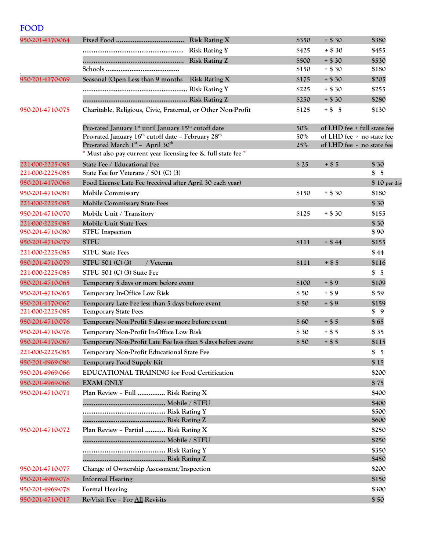# **FOOD**

| 950-201-4170-064 |                                                                                                                           | \$350  | $+$ \$ 30<br>\$380          |
|------------------|---------------------------------------------------------------------------------------------------------------------------|--------|-----------------------------|
|                  |                                                                                                                           | \$425  | $+$ \$ 30<br>\$455          |
|                  |                                                                                                                           | \$500  | $+ $30$<br>\$530            |
|                  |                                                                                                                           | \$150  | $+$ \$ 30<br>\$180          |
| 950-201-4170-069 | Seasonal (Open Less than 9 months Risk Rating X                                                                           | \$175  | $+ $30$<br>\$205            |
|                  |                                                                                                                           | \$225  | $+ $30$<br>\$255            |
|                  |                                                                                                                           | \$250  | $+ $30$<br>\$280            |
| 950-201-4710-075 | Charitable, Religious, Civic, Fraternal, or Other Non-Profit                                                              | \$125  | $+$ \$ 5<br>\$130           |
|                  | Pro-rated January 1 <sup>st</sup> until January 15 <sup>th</sup> cutoff date                                              | 50%    | of LHD fee + full state fee |
|                  | Pro-rated January 16 <sup>th</sup> cutoff date - February 28 <sup>th</sup>                                                | $50\%$ | of LHD fee - no state fee   |
|                  | Pro-rated March 1 <sup>st</sup> - April 30 <sup>th</sup><br>* Must also pay current year licensing fee & full state fee * | 25%    | of LHD fee - no state fee   |
| 221-000-2225-085 | State Fee / Educational Fee                                                                                               | \$25   | $+$ \$ 5<br>\$30            |
| 221-000-2225-085 | State Fee for Veterans $/$ 501 (C) (3)                                                                                    |        | \$5                         |
| 950-201-4170-068 | Food License Late Fee (received after April 30 each year)                                                                 |        | \$ 10 per day               |
| 950-201-4710-081 | <b>Mobile Commissary</b>                                                                                                  | \$150  | $+$ \$ 30<br>\$180          |
| 221-000-2225-085 | <b>Mobile Commissary State Fees</b>                                                                                       |        | \$30                        |
| 950-201-4710-070 | Mobile Unit / Transitory                                                                                                  | \$125  | $+$ \$ 30<br>\$155          |
| 221-000-2225-085 | <b>Mobile Unit State Fees</b>                                                                                             |        | \$30                        |
| 950-201-4710-080 | <b>STFU</b> Inspection                                                                                                    |        | \$90                        |
| 950-201-4710-079 | <b>STFU</b>                                                                                                               | \$111  | \$155<br>$+$ \$44           |
| 221-000-2225-085 | <b>STFU State Fees</b>                                                                                                    |        | \$44                        |
| 950-201-4710-079 | STFU 501 (C) (3)<br>/ Veteran                                                                                             | \$111  | $+$ \$ 5<br>\$116           |
| 221-000-2225-085 | STFU 501 (C) (3) State Fee                                                                                                |        | \$5                         |
| 950-201-4710-065 | Temporary 5 days or more before event                                                                                     | \$100  | \$109<br>$+ $9$             |
| 950-201-4710-065 | <b>Temporary In-Office Low Risk</b>                                                                                       | \$50   | $+ $9$<br>\$59              |
| 950-201-4170-067 | Temporary Late Fee less than 5 days before event                                                                          | \$50   | \$159<br>$+ $9$             |
| 221-000-2225-085 | <b>Temporary State Fees</b>                                                                                               |        | \$9                         |
| 950-201-4710-076 | Temporary Non-Profit 5 days or more before event                                                                          | \$60   | \$65<br>$+$ \$ 5            |
| 950-201-4710-076 | Temporary Non-Profit In-Office Low Risk                                                                                   | \$30   | \$35<br>$+$ \$ 5            |
| 950-201-4170-067 | Temporary Non-Profit Late Fee less than 5 days before event                                                               | \$50   | $+$ \$ 5<br>\$115           |
| 221-000-2225-085 | <b>Temporary Non-Profit Educational State Fee</b>                                                                         |        | \$5                         |
| 950-201-4969-086 | <b>Temporary Food Supply Kit</b>                                                                                          |        | \$15                        |
| 950-201-4969-066 | <b>EDUCATIONAL TRAINING for Food Certification</b>                                                                        |        | \$200                       |
| 950-201-4969-066 | <b>EXAM ONLY</b>                                                                                                          |        | \$75                        |
| 950-201-4710-071 | Plan Review - Full  Risk Rating X                                                                                         |        | \$400                       |
|                  |                                                                                                                           |        | \$400                       |
|                  |                                                                                                                           |        | \$500                       |
|                  |                                                                                                                           |        | \$600                       |
| 950-201-4710-072 | Plan Review - Partial  Risk Rating X                                                                                      |        | \$250                       |
|                  |                                                                                                                           |        | \$250                       |
|                  |                                                                                                                           |        | \$350<br>\$450              |
|                  |                                                                                                                           |        |                             |
| 950-201-4710-077 | Change of Ownership Assessment/Inspection                                                                                 |        | \$200                       |
| 950-201-4969-078 | <b>Informal Hearing</b>                                                                                                   |        | \$150                       |
| 950-201-4969-078 | <b>Formal Hearing</b>                                                                                                     |        | \$300                       |
| 950-201-4710-017 | Re-Visit Fee - For All Revisits                                                                                           |        | \$50                        |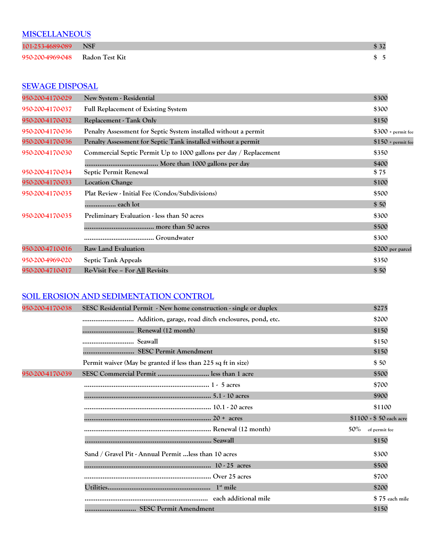### **MISCELLANEOUS**

| 101-253-4689-089 NSF            |  |
|---------------------------------|--|
| 950-200-4969-048 Radon Test Kit |  |

### **SEWAGE DISPOSAL**

| 950-200-4170-029 | New System - Residential                                          | \$300                      |
|------------------|-------------------------------------------------------------------|----------------------------|
| 950-200-4170-037 | <b>Full Replacement of Existing System</b>                        | \$300                      |
| 950-200-4170-032 | Replacement - Tank Only                                           | \$150                      |
| 950-200-4170-036 | Penalty Assessment for Septic System installed without a permit   | $$300 + \text{permit fee}$ |
| 950-200-4170-036 | Penalty Assessment for Septic Tank installed without a permit     | $$150 +$ permit fee        |
| 950-200-4170-030 | Commercial Septic Permit Up to 1000 gallons per day / Replacement | \$350                      |
|                  |                                                                   | \$400                      |
| 950-200-4170-034 | <b>Septic Permit Renewal</b>                                      | \$75                       |
| 950-200-4170-033 | <b>Location Change</b>                                            | \$100                      |
| 950-200-4170-035 | Plat Review - Initial Fee (Condos/Subdivisions)                   | \$500                      |
|                  | each lot                                                          | \$50                       |
| 950-200-4170-035 | Preliminary Evaluation - less than 50 acres                       | \$300                      |
|                  |                                                                   | \$500                      |
|                  |                                                                   | \$300                      |
| 950-200-4710-016 | <b>Raw Land Evaluation</b>                                        | \$200 per parcel           |
| 950-200-4969-020 | <b>Septic Tank Appeals</b>                                        | \$350                      |
| 950-200-4710-017 | Re-Visit Fee – For All Revisits                                   | \$50                       |

### **SOIL EROSION AND SEDIMENTATION CONTROL**

| 950-200-4170-038 | SESC Residential Permit - New home construction - single or duplex | \$275                   |
|------------------|--------------------------------------------------------------------|-------------------------|
|                  |                                                                    | \$200                   |
|                  | Renewal (12 month)                                                 | \$150                   |
|                  |                                                                    | \$150                   |
|                  |                                                                    | \$150                   |
|                  | Permit waiver (May be granted if less than 225 sq ft in size)      | \$50                    |
| 950-200-4170-039 | SESC Commercial Permit  less than 1 acre                           | \$500                   |
|                  |                                                                    | \$700                   |
|                  |                                                                    | \$900                   |
|                  |                                                                    | \$1100                  |
|                  |                                                                    | $$1100 + $50$ each acre |
|                  |                                                                    | 50%<br>of permit fee    |
|                  |                                                                    | \$150                   |
|                  | Sand / Gravel Pit - Annual Permit  less than 10 acres              | \$300                   |
|                  |                                                                    | \$500                   |
|                  |                                                                    | \$700                   |
|                  |                                                                    | \$200                   |
|                  |                                                                    | \$75 each mile          |
|                  | SESC Permit Amendment                                              | \$150                   |
|                  |                                                                    |                         |